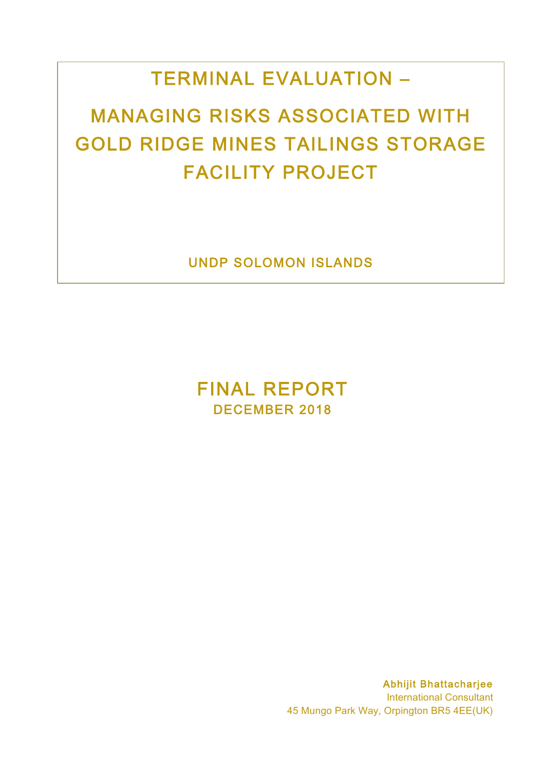# TERMINAL EVALUATION –

# MANAGING RISKS ASSOCIATED WITH GOLD RIDGE MINES TAILINGS STORAGE FACILITY PROJECT

UNDP SOLOMON ISLANDS

FINAL REPORT DECEMBER 2018

> Abhijit Bhattacharjee International Consultant 45 Mungo Park Way, Orpington BR5 4EE(UK)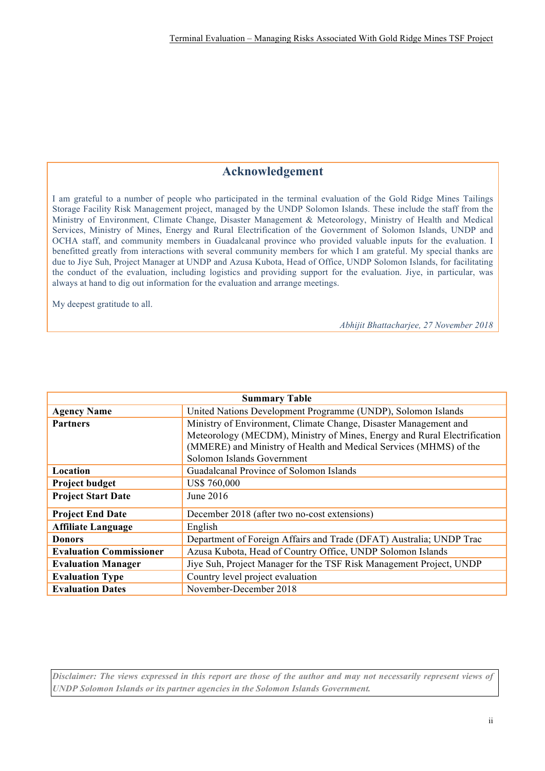## **Acknowledgement**

I am grateful to a number of people who participated in the terminal evaluation of the Gold Ridge Mines Tailings Storage Facility Risk Management project, managed by the UNDP Solomon Islands. These include the staff from the Ministry of Environment, Climate Change, Disaster Management & Meteorology, Ministry of Health and Medical Services, Ministry of Mines, Energy and Rural Electrification of the Government of Solomon Islands, UNDP and OCHA staff, and community members in Guadalcanal province who provided valuable inputs for the evaluation. I benefitted greatly from interactions with several community members for which I am grateful. My special thanks are due to Jiye Suh, Project Manager at UNDP and Azusa Kubota, Head of Office, UNDP Solomon Islands, for facilitating the conduct of the evaluation, including logistics and providing support for the evaluation. Jiye, in particular, was always at hand to dig out information for the evaluation and arrange meetings.

My deepest gratitude to all.

*Abhijit Bhattacharjee, 27 November 2018*

| <b>Summary Table</b>           |                                                                          |  |  |
|--------------------------------|--------------------------------------------------------------------------|--|--|
| <b>Agency Name</b>             | United Nations Development Programme (UNDP), Solomon Islands             |  |  |
| <b>Partners</b>                | Ministry of Environment, Climate Change, Disaster Management and         |  |  |
|                                | Meteorology (MECDM), Ministry of Mines, Energy and Rural Electrification |  |  |
|                                | (MMERE) and Ministry of Health and Medical Services (MHMS) of the        |  |  |
|                                | Solomon Islands Government                                               |  |  |
| Location                       | Guadalcanal Province of Solomon Islands                                  |  |  |
| <b>Project budget</b>          | <b>US\$ 760,000</b>                                                      |  |  |
| <b>Project Start Date</b>      | June 2016                                                                |  |  |
| <b>Project End Date</b>        | December 2018 (after two no-cost extensions)                             |  |  |
| <b>Affiliate Language</b>      | English                                                                  |  |  |
| <b>Donors</b>                  | Department of Foreign Affairs and Trade (DFAT) Australia; UNDP Trac      |  |  |
| <b>Evaluation Commissioner</b> | Azusa Kubota, Head of Country Office, UNDP Solomon Islands               |  |  |
| <b>Evaluation Manager</b>      | Jiye Suh, Project Manager for the TSF Risk Management Project, UNDP      |  |  |
| <b>Evaluation Type</b>         | Country level project evaluation                                         |  |  |
| <b>Evaluation Dates</b>        | November-December 2018                                                   |  |  |

*Disclaimer: The views expressed in this report are those of the author and may not necessarily represent views of UNDP Solomon Islands or its partner agencies in the Solomon Islands Government.*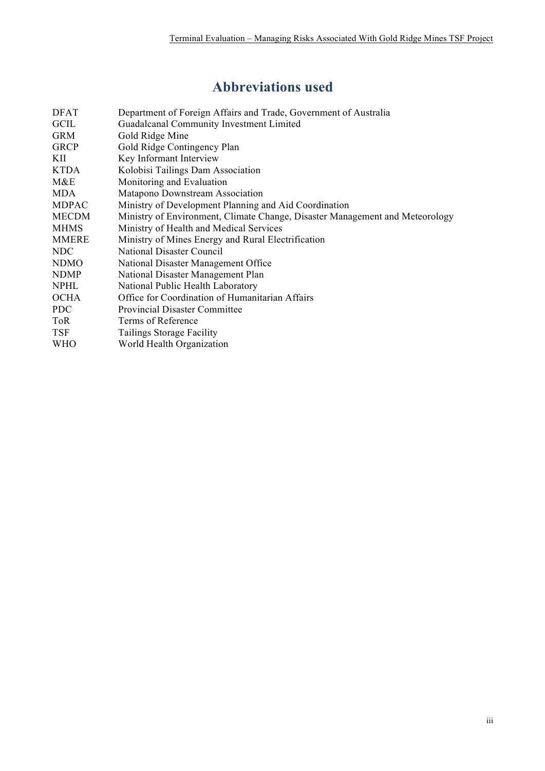# **Abbreviations used**

| <b>DFAT</b>  | Department of Foreign Affairs and Trade, Government of Australia             |
|--------------|------------------------------------------------------------------------------|
| <b>GCIL</b>  | Guadalcanal Community Investment Limited                                     |
| <b>GRM</b>   | Gold Ridge Mine                                                              |
| <b>GRCP</b>  | Gold Ridge Contingency Plan                                                  |
| KII          | Key Informant Interview                                                      |
| KTDA         | Kolobisi Tailings Dam Association                                            |
| M&E          | Monitoring and Evaluation                                                    |
| <b>MDA</b>   | Matapono Downstream Association                                              |
| <b>MDPAC</b> | Ministry of Development Planning and Aid Coordination                        |
| <b>MECDM</b> | Ministry of Environment, Climate Change, Disaster Management and Meteorology |
| <b>MHMS</b>  | Ministry of Health and Medical Services                                      |
| <b>MMERE</b> | Ministry of Mines Energy and Rural Electrification                           |
| NDC          | National Disaster Council                                                    |
| <b>NDMO</b>  | National Disaster Management Office                                          |
| <b>NDMP</b>  | National Disaster Management Plan                                            |
| <b>NPHL</b>  | National Public Health Laboratory                                            |
| <b>OCHA</b>  | Office for Coordination of Humanitarian Affairs                              |
| <b>PDC</b>   | <b>Provincial Disaster Committee</b>                                         |
| <b>ToR</b>   | Terms of Reference                                                           |
| <b>TSF</b>   | Tailings Storage Facility                                                    |
| <b>WHO</b>   | World Health Organization                                                    |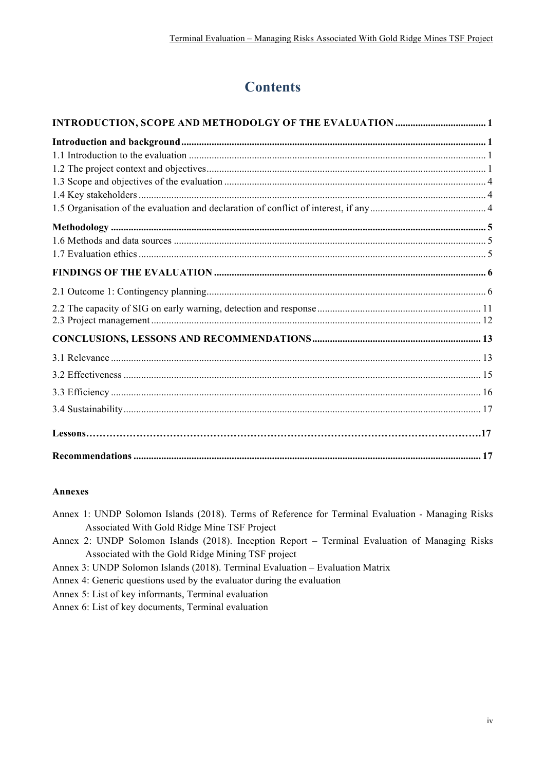## **Contents**

#### **Annexes**

Annex 1: UNDP Solomon Islands (2018). Terms of Reference for Terminal Evaluation - Managing Risks Associated With Gold Ridge Mine TSF Project

Annex 2: UNDP Solomon Islands (2018). Inception Report – Terminal Evaluation of Managing Risks Associated with the Gold Ridge Mining TSF project

Annex 3: UNDP Solomon Islands (2018). Terminal Evaluation – Evaluation Matrix

Annex 4: Generic questions used by the evaluator during the evaluation

Annex 5: List of key informants, Terminal evaluation

Annex 6: List of key documents, Terminal evaluation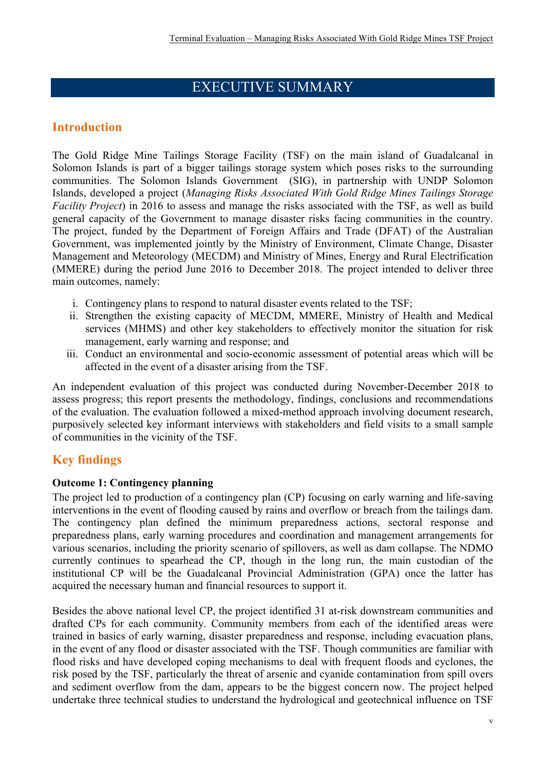## EXECUTIVE SUMMARY

## **Introduction**

The Gold Ridge Mine Tailings Storage Facility (TSF) on the main island of Guadalcanal in Solomon Islands is part of a bigger tailings storage system which poses risks to the surrounding communities. The Solomon Islands Government (SIG), in partnership with UNDP Solomon Islands, developed a project (*Managing Risks Associated With Gold Ridge Mines Tailings Storage Facility Project*) in 2016 to assess and manage the risks associated with the TSF, as well as build general capacity of the Government to manage disaster risks facing communities in the country. The project, funded by the Department of Foreign Affairs and Trade (DFAT) of the Australian Government, was implemented jointly by the Ministry of Environment, Climate Change, Disaster Management and Meteorology (MECDM) and Ministry of Mines, Energy and Rural Electrification (MMERE) during the period June 2016 to December 2018. The project intended to deliver three main outcomes, namely:

- i. Contingency plans to respond to natural disaster events related to the TSF;
- ii. Strengthen the existing capacity of MECDM, MMERE, Ministry of Health and Medical services (MHMS) and other key stakeholders to effectively monitor the situation for risk management, early warning and response; and
- iii. Conduct an environmental and socio-economic assessment of potential areas which will be affected in the event of a disaster arising from the TSF.

An independent evaluation of this project was conducted during November-December 2018 to assess progress; this report presents the methodology, findings, conclusions and recommendations of the evaluation. The evaluation followed a mixed-method approach involving document research, purposively selected key informant interviews with stakeholders and field visits to a small sample of communities in the vicinity of the TSF.

## **Key findings**

#### **Outcome 1: Contingency planning**

The project led to production of a contingency plan (CP) focusing on early warning and life-saving interventions in the event of flooding caused by rains and overflow or breach from the tailings dam. The contingency plan defined the minimum preparedness actions, sectoral response and preparedness plans, early warning procedures and coordination and management arrangements for various scenarios, including the priority scenario of spillovers, as well as dam collapse. The NDMO currently continues to spearhead the CP, though in the long run, the main custodian of the institutional CP will be the Guadalcanal Provincial Administration (GPA) once the latter has acquired the necessary human and financial resources to support it.

Besides the above national level CP, the project identified 31 at-risk downstream communities and drafted CPs for each community. Community members from each of the identified areas were trained in basics of early warning, disaster preparedness and response, including evacuation plans, in the event of any flood or disaster associated with the TSF. Though communities are familiar with flood risks and have developed coping mechanisms to deal with frequent floods and cyclones, the risk posed by the TSF, particularly the threat of arsenic and cyanide contamination from spill overs and sediment overflow from the dam, appears to be the biggest concern now. The project helped undertake three technical studies to understand the hydrological and geotechnical influence on TSF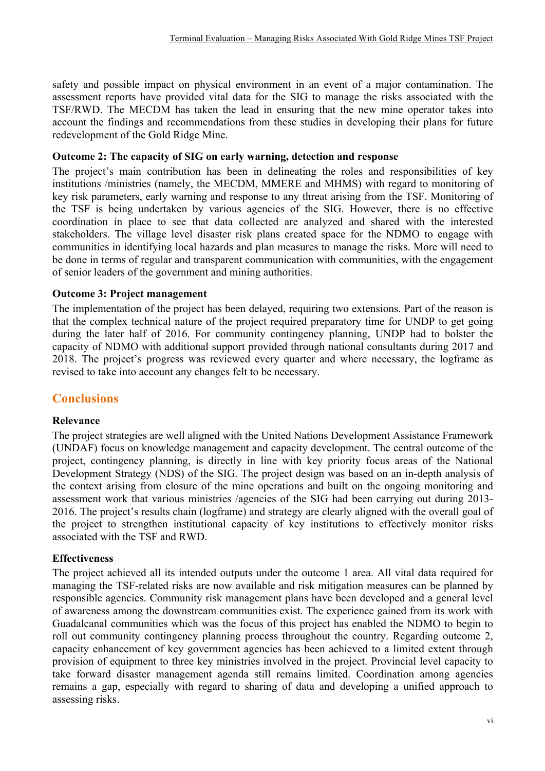safety and possible impact on physical environment in an event of a major contamination. The assessment reports have provided vital data for the SIG to manage the risks associated with the TSF/RWD. The MECDM has taken the lead in ensuring that the new mine operator takes into account the findings and recommendations from these studies in developing their plans for future redevelopment of the Gold Ridge Mine.

#### **Outcome 2: The capacity of SIG on early warning, detection and response**

The project's main contribution has been in delineating the roles and responsibilities of key institutions /ministries (namely, the MECDM, MMERE and MHMS) with regard to monitoring of key risk parameters, early warning and response to any threat arising from the TSF. Monitoring of the TSF is being undertaken by various agencies of the SIG. However, there is no effective coordination in place to see that data collected are analyzed and shared with the interested stakeholders. The village level disaster risk plans created space for the NDMO to engage with communities in identifying local hazards and plan measures to manage the risks. More will need to be done in terms of regular and transparent communication with communities, with the engagement of senior leaders of the government and mining authorities.

#### **Outcome 3: Project management**

The implementation of the project has been delayed, requiring two extensions. Part of the reason is that the complex technical nature of the project required preparatory time for UNDP to get going during the later half of 2016. For community contingency planning, UNDP had to bolster the capacity of NDMO with additional support provided through national consultants during 2017 and 2018. The project's progress was reviewed every quarter and where necessary, the logframe as revised to take into account any changes felt to be necessary.

## **Conclusions**

#### **Relevance**

The project strategies are well aligned with the United Nations Development Assistance Framework (UNDAF) focus on knowledge management and capacity development. The central outcome of the project, contingency planning, is directly in line with key priority focus areas of the National Development Strategy (NDS) of the SIG. The project design was based on an in-depth analysis of the context arising from closure of the mine operations and built on the ongoing monitoring and assessment work that various ministries /agencies of the SIG had been carrying out during 2013- 2016. The project's results chain (logframe) and strategy are clearly aligned with the overall goal of the project to strengthen institutional capacity of key institutions to effectively monitor risks associated with the TSF and RWD.

#### **Effectiveness**

The project achieved all its intended outputs under the outcome 1 area. All vital data required for managing the TSF-related risks are now available and risk mitigation measures can be planned by responsible agencies. Community risk management plans have been developed and a general level of awareness among the downstream communities exist. The experience gained from its work with Guadalcanal communities which was the focus of this project has enabled the NDMO to begin to roll out community contingency planning process throughout the country. Regarding outcome 2, capacity enhancement of key government agencies has been achieved to a limited extent through provision of equipment to three key ministries involved in the project. Provincial level capacity to take forward disaster management agenda still remains limited. Coordination among agencies remains a gap, especially with regard to sharing of data and developing a unified approach to assessing risks.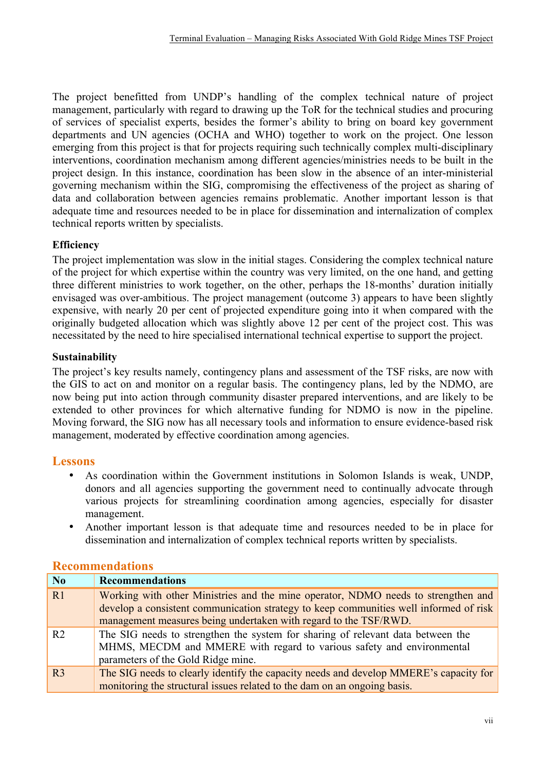The project benefitted from UNDP's handling of the complex technical nature of project management, particularly with regard to drawing up the ToR for the technical studies and procuring of services of specialist experts, besides the former's ability to bring on board key government departments and UN agencies (OCHA and WHO) together to work on the project. One lesson emerging from this project is that for projects requiring such technically complex multi-disciplinary interventions, coordination mechanism among different agencies/ministries needs to be built in the project design. In this instance, coordination has been slow in the absence of an inter-ministerial governing mechanism within the SIG, compromising the effectiveness of the project as sharing of data and collaboration between agencies remains problematic. Another important lesson is that adequate time and resources needed to be in place for dissemination and internalization of complex technical reports written by specialists.

## **Efficiency**

The project implementation was slow in the initial stages. Considering the complex technical nature of the project for which expertise within the country was very limited, on the one hand, and getting three different ministries to work together, on the other, perhaps the 18-months' duration initially envisaged was over-ambitious. The project management (outcome 3) appears to have been slightly expensive, with nearly 20 per cent of projected expenditure going into it when compared with the originally budgeted allocation which was slightly above 12 per cent of the project cost. This was necessitated by the need to hire specialised international technical expertise to support the project.

#### **Sustainability**

The project's key results namely, contingency plans and assessment of the TSF risks, are now with the GIS to act on and monitor on a regular basis. The contingency plans, led by the NDMO, are now being put into action through community disaster prepared interventions, and are likely to be extended to other provinces for which alternative funding for NDMO is now in the pipeline. Moving forward, the SIG now has all necessary tools and information to ensure evidence-based risk management, moderated by effective coordination among agencies.

#### **Lessons**

- As coordination within the Government institutions in Solomon Islands is weak, UNDP, donors and all agencies supporting the government need to continually advocate through various projects for streamlining coordination among agencies, especially for disaster management.
- Another important lesson is that adequate time and resources needed to be in place for dissemination and internalization of complex technical reports written by specialists.

#### **Recommendations**

| No             | <b>Recommendations</b>                                                                                                                                                                                                                         |  |  |
|----------------|------------------------------------------------------------------------------------------------------------------------------------------------------------------------------------------------------------------------------------------------|--|--|
| R1             | Working with other Ministries and the mine operator, NDMO needs to strengthen and<br>develop a consistent communication strategy to keep communities well informed of risk<br>management measures being undertaken with regard to the TSF/RWD. |  |  |
| R <sub>2</sub> | The SIG needs to strengthen the system for sharing of relevant data between the<br>MHMS, MECDM and MMERE with regard to various safety and environmental<br>parameters of the Gold Ridge mine.                                                 |  |  |
| R3             | The SIG needs to clearly identify the capacity needs and develop MMERE's capacity for<br>monitoring the structural issues related to the dam on an ongoing basis.                                                                              |  |  |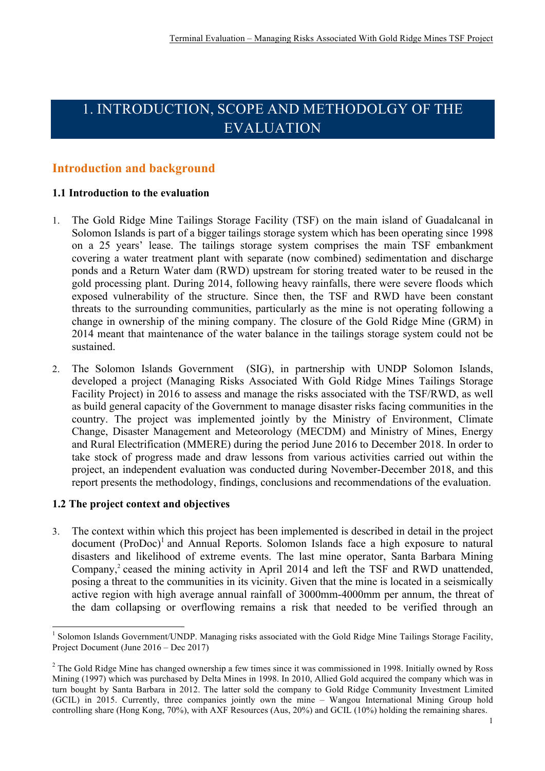# 1. INTRODUCTION, SCOPE AND METHODOLGY OF THE EVALUATION

## **Introduction and background**

## **1.1 Introduction to the evaluation**

- 1. The Gold Ridge Mine Tailings Storage Facility (TSF) on the main island of Guadalcanal in Solomon Islands is part of a bigger tailings storage system which has been operating since 1998 on a 25 years' lease. The tailings storage system comprises the main TSF embankment covering a water treatment plant with separate (now combined) sedimentation and discharge ponds and a Return Water dam (RWD) upstream for storing treated water to be reused in the gold processing plant. During 2014, following heavy rainfalls, there were severe floods which exposed vulnerability of the structure. Since then, the TSF and RWD have been constant threats to the surrounding communities, particularly as the mine is not operating following a change in ownership of the mining company. The closure of the Gold Ridge Mine (GRM) in 2014 meant that maintenance of the water balance in the tailings storage system could not be sustained.
- 2. The Solomon Islands Government (SIG), in partnership with UNDP Solomon Islands, developed a project (Managing Risks Associated With Gold Ridge Mines Tailings Storage Facility Project) in 2016 to assess and manage the risks associated with the TSF/RWD, as well as build general capacity of the Government to manage disaster risks facing communities in the country. The project was implemented jointly by the Ministry of Environment, Climate Change, Disaster Management and Meteorology (MECDM) and Ministry of Mines, Energy and Rural Electrification (MMERE) during the period June 2016 to December 2018. In order to take stock of progress made and draw lessons from various activities carried out within the project, an independent evaluation was conducted during November-December 2018, and this report presents the methodology, findings, conclusions and recommendations of the evaluation.

#### **1.2 The project context and objectives**

3. The context within which this project has been implemented is described in detail in the project  $document (ProDoc)<sup>1</sup> and Annual Reports. Solomon Islands face a high exposure to natural$ disasters and likelihood of extreme events. The last mine operator, Santa Barbara Mining Company, <sup>2</sup> ceased the mining activity in April 2014 and left the TSF and RWD unattended, posing a threat to the communities in its vicinity. Given that the mine is located in a seismically active region with high average annual rainfall of 3000mm-4000mm per annum, the threat of the dam collapsing or overflowing remains a risk that needed to be verified through an

<sup>&</sup>lt;sup>1</sup> Solomon Islands Government/UNDP. Managing risks associated with the Gold Ridge Mine Tailings Storage Facility, Project Document (June 2016 – Dec 2017)

<sup>&</sup>lt;sup>2</sup> The Gold Ridge Mine has changed ownership a few times since it was commissioned in 1998. Initially owned by Ross Mining (1997) which was purchased by Delta Mines in 1998. In 2010, Allied Gold acquired the company which was in turn bought by Santa Barbara in 2012. The latter sold the company to Gold Ridge Community Investment Limited (GCIL) in 2015. Currently, three companies jointly own the mine – Wangou International Mining Group hold controlling share (Hong Kong, 70%), with AXF Resources (Aus, 20%) and GCIL (10%) holding the remaining shares.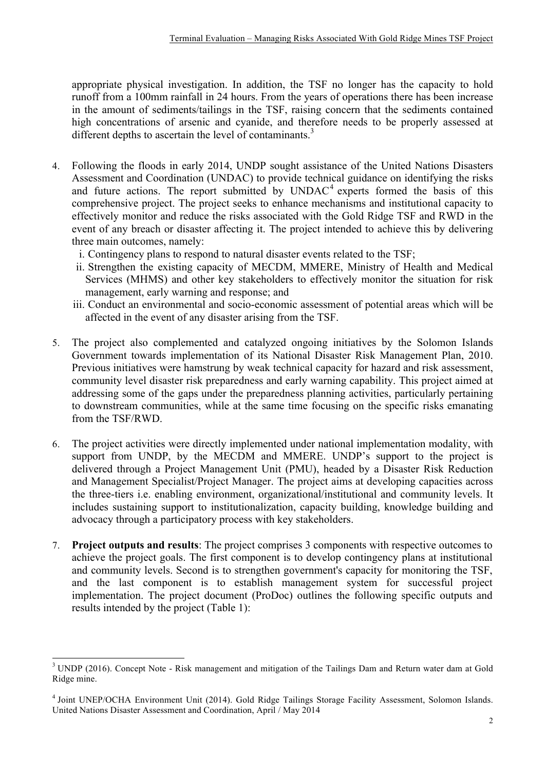appropriate physical investigation. In addition, the TSF no longer has the capacity to hold runoff from a 100mm rainfall in 24 hours. From the years of operations there has been increase in the amount of sediments/tailings in the TSF, raising concern that the sediments contained high concentrations of arsenic and cyanide, and therefore needs to be properly assessed at different depths to ascertain the level of contaminants.<sup>3</sup>

- 4. Following the floods in early 2014, UNDP sought assistance of the United Nations Disasters Assessment and Coordination (UNDAC) to provide technical guidance on identifying the risks and future actions. The report submitted by  $UNDAC<sup>4</sup>$  experts formed the basis of this comprehensive project. The project seeks to enhance mechanisms and institutional capacity to effectively monitor and reduce the risks associated with the Gold Ridge TSF and RWD in the event of any breach or disaster affecting it. The project intended to achieve this by delivering three main outcomes, namely:
	- i. Contingency plans to respond to natural disaster events related to the TSF;
	- ii. Strengthen the existing capacity of MECDM, MMERE, Ministry of Health and Medical Services (MHMS) and other key stakeholders to effectively monitor the situation for risk management, early warning and response; and
	- iii. Conduct an environmental and socio-economic assessment of potential areas which will be affected in the event of any disaster arising from the TSF.
- 5. The project also complemented and catalyzed ongoing initiatives by the Solomon Islands Government towards implementation of its National Disaster Risk Management Plan, 2010. Previous initiatives were hamstrung by weak technical capacity for hazard and risk assessment, community level disaster risk preparedness and early warning capability. This project aimed at addressing some of the gaps under the preparedness planning activities, particularly pertaining to downstream communities, while at the same time focusing on the specific risks emanating from the TSF/RWD.
- 6. The project activities were directly implemented under national implementation modality, with support from UNDP, by the MECDM and MMERE. UNDP's support to the project is delivered through a Project Management Unit (PMU), headed by a Disaster Risk Reduction and Management Specialist/Project Manager. The project aims at developing capacities across the three-tiers i.e. enabling environment, organizational/institutional and community levels. It includes sustaining support to institutionalization, capacity building, knowledge building and advocacy through a participatory process with key stakeholders.
- 7. **Project outputs and results**: The project comprises 3 components with respective outcomes to achieve the project goals. The first component is to develop contingency plans at institutional and community levels. Second is to strengthen government's capacity for monitoring the TSF, and the last component is to establish management system for successful project implementation. The project document (ProDoc) outlines the following specific outputs and results intended by the project (Table 1):

<sup>&</sup>lt;sup>3</sup> UNDP (2016). Concept Note - Risk management and mitigation of the Tailings Dam and Return water dam at Gold Ridge mine.

<sup>4</sup> Joint UNEP/OCHA Environment Unit (2014). Gold Ridge Tailings Storage Facility Assessment, Solomon Islands. United Nations Disaster Assessment and Coordination, April / May 2014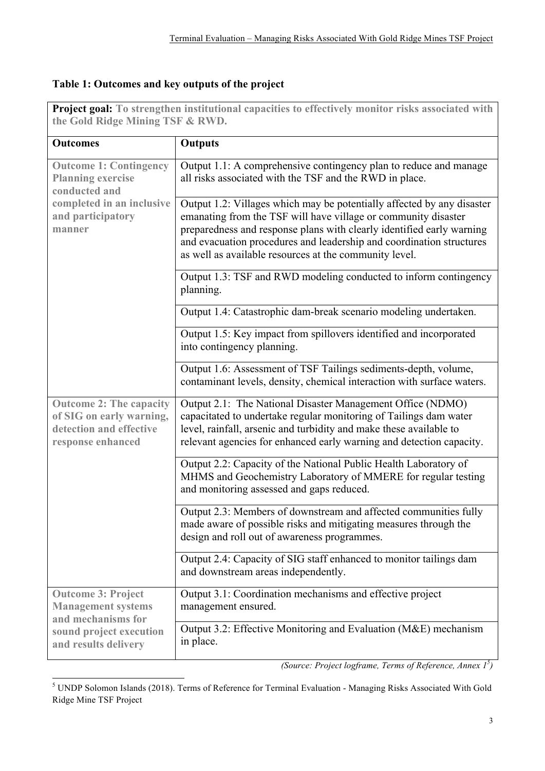## **Table 1: Outcomes and key outputs of the project**

| <b>Project goal:</b> To strengthen institutional capacities to effectively monitor risks associated with<br>the Gold Ridge Mining TSF & RWD. |                                                                                                                                                                                                                                                                                                                                                     |  |
|----------------------------------------------------------------------------------------------------------------------------------------------|-----------------------------------------------------------------------------------------------------------------------------------------------------------------------------------------------------------------------------------------------------------------------------------------------------------------------------------------------------|--|
| <b>Outcomes</b>                                                                                                                              | <b>Outputs</b>                                                                                                                                                                                                                                                                                                                                      |  |
| <b>Outcome 1: Contingency</b><br><b>Planning exercise</b><br>conducted and<br>completed in an inclusive<br>and participatory<br>manner       | Output 1.1: A comprehensive contingency plan to reduce and manage<br>all risks associated with the TSF and the RWD in place.                                                                                                                                                                                                                        |  |
|                                                                                                                                              | Output 1.2: Villages which may be potentially affected by any disaster<br>emanating from the TSF will have village or community disaster<br>preparedness and response plans with clearly identified early warning<br>and evacuation procedures and leadership and coordination structures<br>as well as available resources at the community level. |  |
|                                                                                                                                              | Output 1.3: TSF and RWD modeling conducted to inform contingency<br>planning.                                                                                                                                                                                                                                                                       |  |
|                                                                                                                                              | Output 1.4: Catastrophic dam-break scenario modeling undertaken.                                                                                                                                                                                                                                                                                    |  |
|                                                                                                                                              | Output 1.5: Key impact from spillovers identified and incorporated<br>into contingency planning.                                                                                                                                                                                                                                                    |  |
|                                                                                                                                              | Output 1.6: Assessment of TSF Tailings sediments-depth, volume,<br>contaminant levels, density, chemical interaction with surface waters.                                                                                                                                                                                                           |  |
| <b>Outcome 2: The capacity</b><br>of SIG on early warning,<br>detection and effective<br>response enhanced                                   | Output 2.1: The National Disaster Management Office (NDMO)<br>capacitated to undertake regular monitoring of Tailings dam water<br>level, rainfall, arsenic and turbidity and make these available to<br>relevant agencies for enhanced early warning and detection capacity.                                                                       |  |
|                                                                                                                                              | Output 2.2: Capacity of the National Public Health Laboratory of<br>MHMS and Geochemistry Laboratory of MMERE for regular testing<br>and monitoring assessed and gaps reduced.                                                                                                                                                                      |  |
|                                                                                                                                              | Output 2.3: Members of downstream and affected communities fully<br>made aware of possible risks and mitigating measures through the<br>design and roll out of awareness programmes.                                                                                                                                                                |  |
|                                                                                                                                              | Output 2.4: Capacity of SIG staff enhanced to monitor tailings dam<br>and downstream areas independently.                                                                                                                                                                                                                                           |  |
| <b>Outcome 3: Project</b><br><b>Management systems</b><br>and mechanisms for<br>sound project execution<br>and results delivery              | Output 3.1: Coordination mechanisms and effective project<br>management ensured.                                                                                                                                                                                                                                                                    |  |
|                                                                                                                                              | Output 3.2: Effective Monitoring and Evaluation (M&E) mechanism<br>in place.                                                                                                                                                                                                                                                                        |  |

**Project goal: To strengthen institutional capacities to effectively monitor risks associated with** 

*(Source: Project logframe, Terms of Reference, Annex 1<sup>5</sup> )*

 

<sup>5</sup> UNDP Solomon Islands (2018). Terms of Reference for Terminal Evaluation - Managing Risks Associated With Gold Ridge Mine TSF Project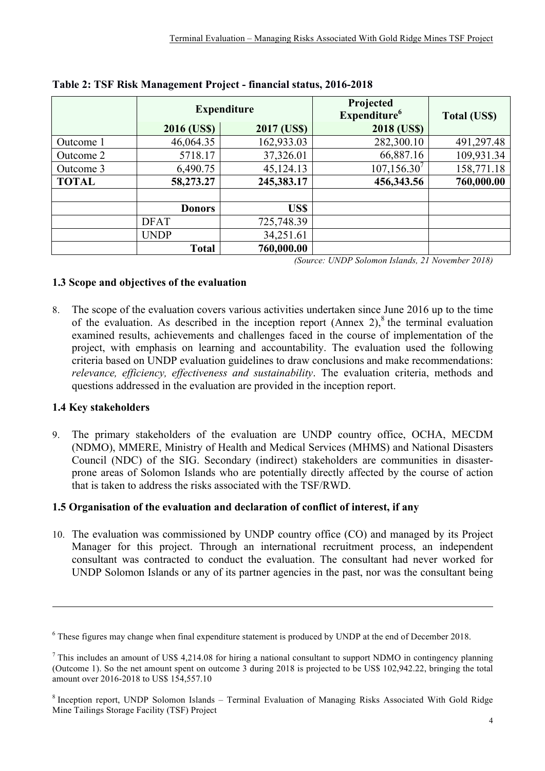|              | <b>Expenditure</b> |             | Projected<br>Expenditure <sup>6</sup> | <b>Total (US\$)</b> |
|--------------|--------------------|-------------|---------------------------------------|---------------------|
|              | 2016 (US\$)        | 2017 (US\$) | <b>2018 (USS)</b>                     |                     |
| Outcome 1    | 46,064.35          | 162,933.03  | 282,300.10                            | 491,297.48          |
| Outcome 2    | 5718.17            | 37,326.01   | 66,887.16                             | 109,931.34          |
| Outcome 3    | 6,490.75           | 45,124.13   | $107, 156.30^7$                       | 158,771.18          |
| <b>TOTAL</b> | 58,273.27          | 245,383.17  | 456,343.56                            | 760,000.00          |
|              |                    |             |                                       |                     |
|              | <b>Donors</b>      | US\$        |                                       |                     |
|              | <b>DFAT</b>        | 725,748.39  |                                       |                     |
|              | <b>UNDP</b>        | 34,251.61   |                                       |                     |
|              | <b>Total</b>       | 760,000.00  | <b>TII TAINT</b>                      | 20101               |

**Table 2: TSF Risk Management Project - financial status, 2016-2018**

*(Source: UNDP Solomon Islands, 21 November 2018)*

## **1.3 Scope and objectives of the evaluation**

8. The scope of the evaluation covers various activities undertaken since June 2016 up to the time of the evaluation. As described in the inception report  $(Annex 2)<sup>8</sup>$  the terminal evaluation examined results, achievements and challenges faced in the course of implementation of the project, with emphasis on learning and accountability. The evaluation used the following criteria based on UNDP evaluation guidelines to draw conclusions and make recommendations: *relevance, efficiency, effectiveness and sustainability*. The evaluation criteria, methods and questions addressed in the evaluation are provided in the inception report.

## **1.4 Key stakeholders**

9. The primary stakeholders of the evaluation are UNDP country office, OCHA, MECDM (NDMO), MMERE, Ministry of Health and Medical Services (MHMS) and National Disasters Council (NDC) of the SIG. Secondary (indirect) stakeholders are communities in disasterprone areas of Solomon Islands who are potentially directly affected by the course of action that is taken to address the risks associated with the TSF/RWD.

## **1.5 Organisation of the evaluation and declaration of conflict of interest, if any**

10. The evaluation was commissioned by UNDP country office (CO) and managed by its Project Manager for this project. Through an international recruitment process, an independent consultant was contracted to conduct the evaluation. The consultant had never worked for UNDP Solomon Islands or any of its partner agencies in the past, nor was the consultant being

 

<sup>6</sup> These figures may change when final expenditure statement is produced by UNDP at the end of December 2018.

 $<sup>7</sup>$  This includes an amount of US\$ 4,214.08 for hiring a national consultant to support NDMO in contingency planning</sup> (Outcome 1). So the net amount spent on outcome 3 during 2018 is projected to be US\$ 102,942.22, bringing the total amount over 2016-2018 to US\$ 154,557.10

<sup>&</sup>lt;sup>8</sup> Inception report, UNDP Solomon Islands – Terminal Evaluation of Managing Risks Associated With Gold Ridge Mine Tailings Storage Facility (TSF) Project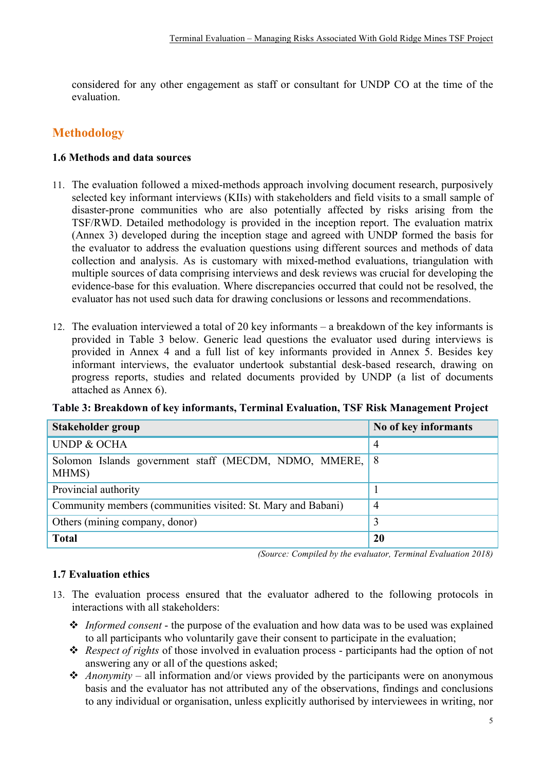considered for any other engagement as staff or consultant for UNDP CO at the time of the evaluation.

## **Methodology**

## **1.6 Methods and data sources**

- 11. The evaluation followed a mixed-methods approach involving document research, purposively selected key informant interviews (KIIs) with stakeholders and field visits to a small sample of disaster-prone communities who are also potentially affected by risks arising from the TSF/RWD. Detailed methodology is provided in the inception report. The evaluation matrix (Annex 3) developed during the inception stage and agreed with UNDP formed the basis for the evaluator to address the evaluation questions using different sources and methods of data collection and analysis. As is customary with mixed-method evaluations, triangulation with multiple sources of data comprising interviews and desk reviews was crucial for developing the evidence-base for this evaluation. Where discrepancies occurred that could not be resolved, the evaluator has not used such data for drawing conclusions or lessons and recommendations.
- 12. The evaluation interviewed a total of 20 key informants a breakdown of the key informants is provided in Table 3 below. Generic lead questions the evaluator used during interviews is provided in Annex 4 and a full list of key informants provided in Annex 5. Besides key informant interviews, the evaluator undertook substantial desk-based research, drawing on progress reports, studies and related documents provided by UNDP (a list of documents attached as Annex 6).

| Stakeholder group                                                | No of key informants |
|------------------------------------------------------------------|----------------------|
| <b>UNDP &amp; OCHA</b>                                           | $\overline{4}$       |
| Solomon Islands government staff (MECDM, NDMO, MMERE, 8<br>MHMS) |                      |
| Provincial authority                                             |                      |
| Community members (communities visited: St. Mary and Babani)     | 4                    |
| Others (mining company, donor)                                   | 3                    |
| <b>Total</b>                                                     | <b>20</b>            |

**Table 3: Breakdown of key informants, Terminal Evaluation, TSF Risk Management Project**

*(Source: Compiled by the evaluator, Terminal Evaluation 2018)*

## **1.7 Evaluation ethics**

- 13. The evaluation process ensured that the evaluator adhered to the following protocols in interactions with all stakeholders:
	- v *Informed consent* the purpose of the evaluation and how data was to be used was explained to all participants who voluntarily gave their consent to participate in the evaluation;
	- \* *Respect of rights* of those involved in evaluation process participants had the option of not answering any or all of the questions asked;
	- $\triangle$  *Anonymity* all information and/or views provided by the participants were on anonymous basis and the evaluator has not attributed any of the observations, findings and conclusions to any individual or organisation, unless explicitly authorised by interviewees in writing, nor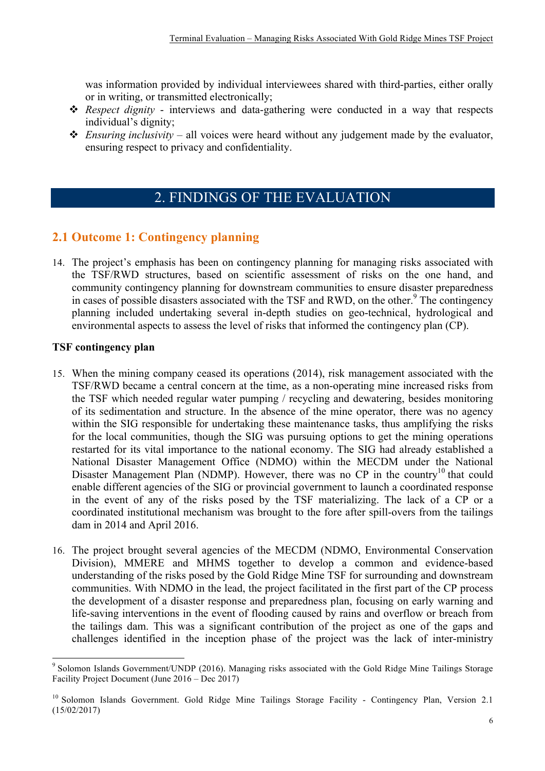was information provided by individual interviewees shared with third-parties, either orally or in writing, or transmitted electronically;

- \* *Respect dignity* interviews and data-gathering were conducted in a way that respects individual's dignity;
- $\triangle$  *Ensuring inclusivity* all voices were heard without any judgement made by the evaluator, ensuring respect to privacy and confidentiality.

## 2. FINDINGS OF THE EVALUATION

## **2.1 Outcome 1: Contingency planning**

14. The project's emphasis has been on contingency planning for managing risks associated with the TSF/RWD structures, based on scientific assessment of risks on the one hand, and community contingency planning for downstream communities to ensure disaster preparedness in cases of possible disasters associated with the TSF and RWD, on the other.<sup>9</sup> The contingency planning included undertaking several in-depth studies on geo-technical, hydrological and environmental aspects to assess the level of risks that informed the contingency plan (CP).

#### **TSF contingency plan**

- 15. When the mining company ceased its operations (2014), risk management associated with the TSF/RWD became a central concern at the time, as a non-operating mine increased risks from the TSF which needed regular water pumping / recycling and dewatering, besides monitoring of its sedimentation and structure. In the absence of the mine operator, there was no agency within the SIG responsible for undertaking these maintenance tasks, thus amplifying the risks for the local communities, though the SIG was pursuing options to get the mining operations restarted for its vital importance to the national economy. The SIG had already established a National Disaster Management Office (NDMO) within the MECDM under the National Disaster Management Plan (NDMP). However, there was no  $CP$  in the country<sup>10</sup> that could enable different agencies of the SIG or provincial government to launch a coordinated response in the event of any of the risks posed by the TSF materializing. The lack of a CP or a coordinated institutional mechanism was brought to the fore after spill-overs from the tailings dam in 2014 and April 2016.
- 16. The project brought several agencies of the MECDM (NDMO, Environmental Conservation Division), MMERE and MHMS together to develop a common and evidence-based understanding of the risks posed by the Gold Ridge Mine TSF for surrounding and downstream communities. With NDMO in the lead, the project facilitated in the first part of the CP process the development of a disaster response and preparedness plan, focusing on early warning and life-saving interventions in the event of flooding caused by rains and overflow or breach from the tailings dam. This was a significant contribution of the project as one of the gaps and challenges identified in the inception phase of the project was the lack of inter-ministry

 <sup>9</sup> Solomon Islands Government/UNDP (2016). Managing risks associated with the Gold Ridge Mine Tailings Storage Facility Project Document (June 2016 – Dec 2017)

<sup>&</sup>lt;sup>10</sup> Solomon Islands Government. Gold Ridge Mine Tailings Storage Facility - Contingency Plan, Version 2.1 (15/02/2017)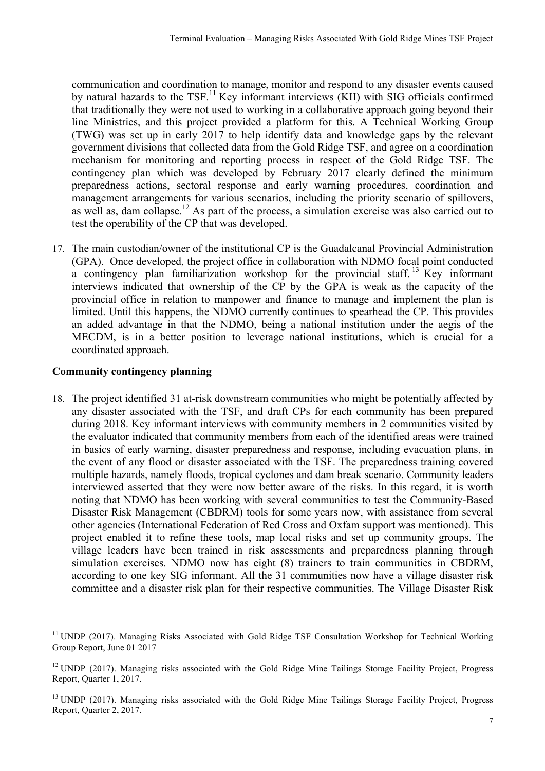communication and coordination to manage, monitor and respond to any disaster events caused by natural hazards to the  $TSF<sup>11</sup>$  Key informant interviews (KII) with SIG officials confirmed that traditionally they were not used to working in a collaborative approach going beyond their line Ministries, and this project provided a platform for this. A Technical Working Group (TWG) was set up in early 2017 to help identify data and knowledge gaps by the relevant government divisions that collected data from the Gold Ridge TSF, and agree on a coordination mechanism for monitoring and reporting process in respect of the Gold Ridge TSF. The contingency plan which was developed by February 2017 clearly defined the minimum preparedness actions, sectoral response and early warning procedures, coordination and management arrangements for various scenarios, including the priority scenario of spillovers, as well as, dam collapse.12 As part of the process, a simulation exercise was also carried out to test the operability of the CP that was developed.

17. The main custodian/owner of the institutional CP is the Guadalcanal Provincial Administration (GPA). Once developed, the project office in collaboration with NDMO focal point conducted a contingency plan familiarization workshop for the provincial staff.<sup>13</sup> Key informant interviews indicated that ownership of the CP by the GPA is weak as the capacity of the provincial office in relation to manpower and finance to manage and implement the plan is limited. Until this happens, the NDMO currently continues to spearhead the CP. This provides an added advantage in that the NDMO, being a national institution under the aegis of the MECDM, is in a better position to leverage national institutions, which is crucial for a coordinated approach.

## **Community contingency planning**

 

18. The project identified 31 at-risk downstream communities who might be potentially affected by any disaster associated with the TSF, and draft CPs for each community has been prepared during 2018. Key informant interviews with community members in 2 communities visited by the evaluator indicated that community members from each of the identified areas were trained in basics of early warning, disaster preparedness and response, including evacuation plans, in the event of any flood or disaster associated with the TSF. The preparedness training covered multiple hazards, namely floods, tropical cyclones and dam break scenario. Community leaders interviewed asserted that they were now better aware of the risks. In this regard, it is worth noting that NDMO has been working with several communities to test the Community-Based Disaster Risk Management (CBDRM) tools for some years now, with assistance from several other agencies (International Federation of Red Cross and Oxfam support was mentioned). This project enabled it to refine these tools, map local risks and set up community groups. The village leaders have been trained in risk assessments and preparedness planning through simulation exercises. NDMO now has eight (8) trainers to train communities in CBDRM, according to one key SIG informant. All the 31 communities now have a village disaster risk committee and a disaster risk plan for their respective communities. The Village Disaster Risk

<sup>&</sup>lt;sup>11</sup> UNDP (2017). Managing Risks Associated with Gold Ridge TSF Consultation Workshop for Technical Working Group Report, June 01 2017

<sup>&</sup>lt;sup>12</sup> UNDP (2017). Managing risks associated with the Gold Ridge Mine Tailings Storage Facility Project, Progress Report, Quarter 1, 2017.

<sup>&</sup>lt;sup>13</sup> UNDP (2017). Managing risks associated with the Gold Ridge Mine Tailings Storage Facility Project, Progress Report, Quarter 2, 2017.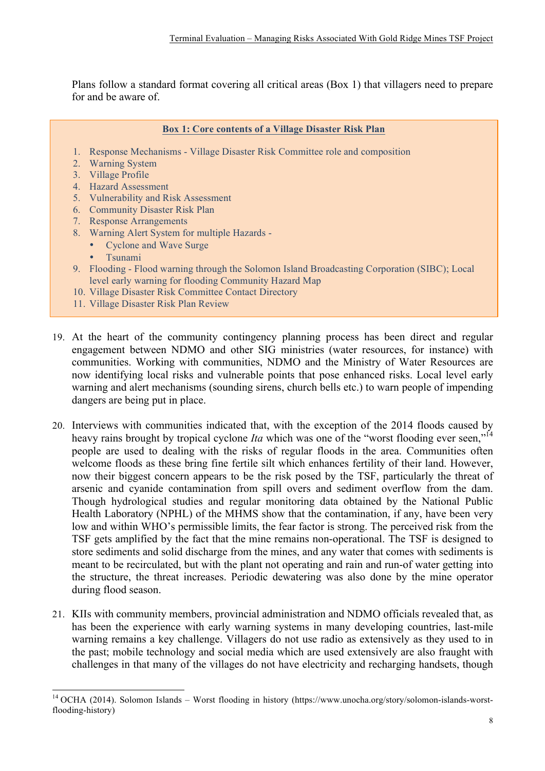Plans follow a standard format covering all critical areas (Box 1) that villagers need to prepare for and be aware of.

#### **Box 1: Core contents of a Village Disaster Risk Plan**

- 1. Response Mechanisms Village Disaster Risk Committee role and composition
- 2. Warning System
- 3. Village Profile
- 4. Hazard Assessment
- 5. Vulnerability and Risk Assessment
- 6. Community Disaster Risk Plan
- 7. Response Arrangements
- 8. Warning Alert System for multiple Hazards
	- Cyclone and Wave Surge
	- Tsunami
- 9. Flooding Flood warning through the Solomon Island Broadcasting Corporation (SIBC); Local level early warning for flooding Community Hazard Map
- 10. Village Disaster Risk Committee Contact Directory
- 11. Village Disaster Risk Plan Review
- 19. At the heart of the community contingency planning process has been direct and regular engagement between NDMO and other SIG ministries (water resources, for instance) with communities. Working with communities, NDMO and the Ministry of Water Resources are now identifying local risks and vulnerable points that pose enhanced risks. Local level early warning and alert mechanisms (sounding sirens, church bells etc.) to warn people of impending dangers are being put in place.
- 20. Interviews with communities indicated that, with the exception of the 2014 floods caused by heavy rains brought by tropical cyclone *Ita* which was one of the "worst flooding ever seen,"<sup>14</sup> people are used to dealing with the risks of regular floods in the area. Communities often welcome floods as these bring fine fertile silt which enhances fertility of their land. However, now their biggest concern appears to be the risk posed by the TSF, particularly the threat of arsenic and cyanide contamination from spill overs and sediment overflow from the dam. Though hydrological studies and regular monitoring data obtained by the National Public Health Laboratory (NPHL) of the MHMS show that the contamination, if any, have been very low and within WHO's permissible limits, the fear factor is strong. The perceived risk from the TSF gets amplified by the fact that the mine remains non-operational. The TSF is designed to store sediments and solid discharge from the mines, and any water that comes with sediments is meant to be recirculated, but with the plant not operating and rain and run-of water getting into the structure, the threat increases. Periodic dewatering was also done by the mine operator during flood season.
- 21. KIIs with community members, provincial administration and NDMO officials revealed that, as has been the experience with early warning systems in many developing countries, last-mile warning remains a key challenge. Villagers do not use radio as extensively as they used to in the past; mobile technology and social media which are used extensively are also fraught with challenges in that many of the villages do not have electricity and recharging handsets, though

<sup>&</sup>lt;sup>14</sup> OCHA (2014). Solomon Islands – Worst flooding in history (https://www.unocha.org/story/solomon-islands-worstflooding-history)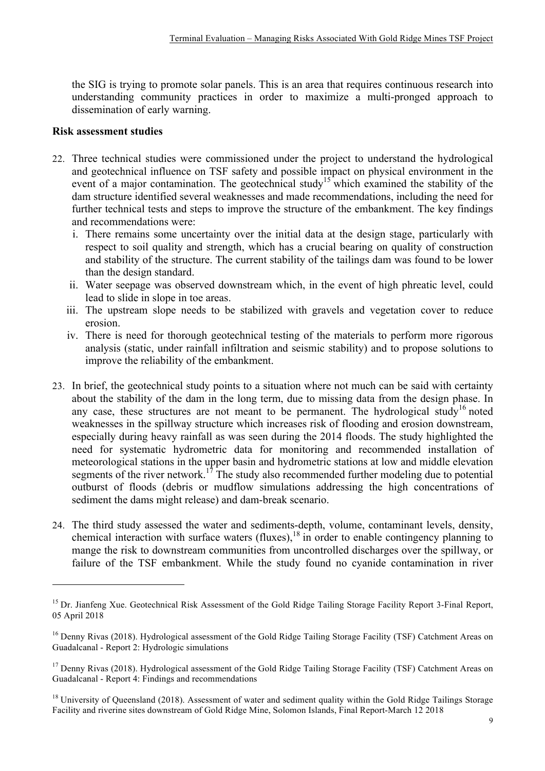the SIG is trying to promote solar panels. This is an area that requires continuous research into understanding community practices in order to maximize a multi-pronged approach to dissemination of early warning.

#### **Risk assessment studies**

<u> 1989 - Johann Stein, marwolaethau a bh</u>

- 22. Three technical studies were commissioned under the project to understand the hydrological and geotechnical influence on TSF safety and possible impact on physical environment in the event of a major contamination. The geotechnical study<sup>15</sup> which examined the stability of the dam structure identified several weaknesses and made recommendations, including the need for further technical tests and steps to improve the structure of the embankment. The key findings and recommendations were:
	- i. There remains some uncertainty over the initial data at the design stage, particularly with respect to soil quality and strength, which has a crucial bearing on quality of construction and stability of the structure. The current stability of the tailings dam was found to be lower than the design standard.
	- ii. Water seepage was observed downstream which, in the event of high phreatic level, could lead to slide in slope in toe areas.
	- iii. The upstream slope needs to be stabilized with gravels and vegetation cover to reduce erosion.
	- iv. There is need for thorough geotechnical testing of the materials to perform more rigorous analysis (static, under rainfall infiltration and seismic stability) and to propose solutions to improve the reliability of the embankment.
- 23. In brief, the geotechnical study points to a situation where not much can be said with certainty about the stability of the dam in the long term, due to missing data from the design phase. In any case, these structures are not meant to be permanent. The hydrological study<sup>16</sup> noted weaknesses in the spillway structure which increases risk of flooding and erosion downstream, especially during heavy rainfall as was seen during the 2014 floods. The study highlighted the need for systematic hydrometric data for monitoring and recommended installation of meteorological stations in the upper basin and hydrometric stations at low and middle elevation segments of the river network.<sup>17</sup> The study also recommended further modeling due to potential outburst of floods (debris or mudflow simulations addressing the high concentrations of sediment the dams might release) and dam-break scenario.
- 24. The third study assessed the water and sediments-depth, volume, contaminant levels, density, chemical interaction with surface waters (fluxes),  $18$  in order to enable contingency planning to mange the risk to downstream communities from uncontrolled discharges over the spillway, or failure of the TSF embankment. While the study found no cyanide contamination in river

<sup>&</sup>lt;sup>15</sup> Dr. Jianfeng Xue. Geotechnical Risk Assessment of the Gold Ridge Tailing Storage Facility Report 3-Final Report, 05 April 2018

<sup>&</sup>lt;sup>16</sup> Denny Rivas (2018). Hydrological assessment of the Gold Ridge Tailing Storage Facility (TSF) Catchment Areas on Guadalcanal - Report 2: Hydrologic simulations

<sup>&</sup>lt;sup>17</sup> Denny Rivas (2018). Hydrological assessment of the Gold Ridge Tailing Storage Facility (TSF) Catchment Areas on Guadalcanal - Report 4: Findings and recommendations

 $18$  University of Queensland (2018). Assessment of water and sediment quality within the Gold Ridge Tailings Storage Facility and riverine sites downstream of Gold Ridge Mine, Solomon Islands, Final Report-March 12 2018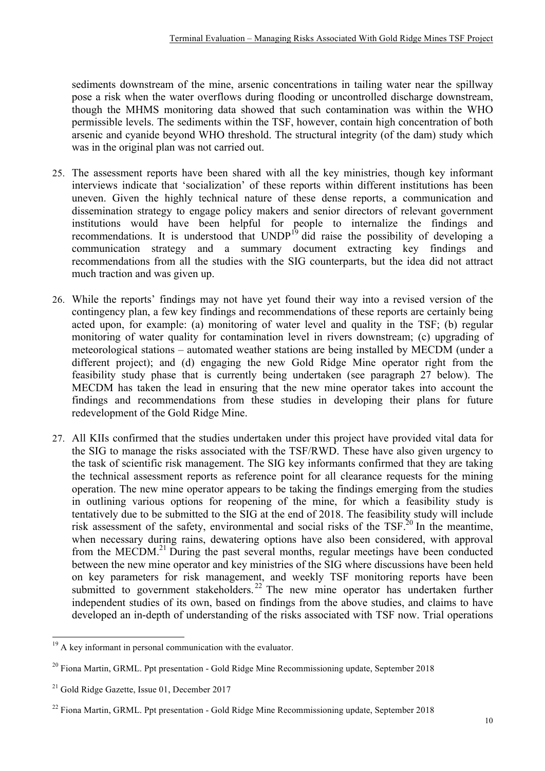sediments downstream of the mine, arsenic concentrations in tailing water near the spillway pose a risk when the water overflows during flooding or uncontrolled discharge downstream, though the MHMS monitoring data showed that such contamination was within the WHO permissible levels. The sediments within the TSF, however, contain high concentration of both arsenic and cyanide beyond WHO threshold. The structural integrity (of the dam) study which was in the original plan was not carried out.

- 25. The assessment reports have been shared with all the key ministries, though key informant interviews indicate that 'socialization' of these reports within different institutions has been uneven. Given the highly technical nature of these dense reports, a communication and dissemination strategy to engage policy makers and senior directors of relevant government institutions would have been helpful for people to internalize the findings and recommendations. It is understood that  $\text{UNDP}^{19}$  did raise the possibility of developing a communication strategy and a summary document extracting key findings and recommendations from all the studies with the SIG counterparts, but the idea did not attract much traction and was given up.
- 26. While the reports' findings may not have yet found their way into a revised version of the contingency plan, a few key findings and recommendations of these reports are certainly being acted upon, for example: (a) monitoring of water level and quality in the TSF; (b) regular monitoring of water quality for contamination level in rivers downstream; (c) upgrading of meteorological stations – automated weather stations are being installed by MECDM (under a different project); and (d) engaging the new Gold Ridge Mine operator right from the feasibility study phase that is currently being undertaken (see paragraph 27 below). The MECDM has taken the lead in ensuring that the new mine operator takes into account the findings and recommendations from these studies in developing their plans for future redevelopment of the Gold Ridge Mine.
- 27. All KIIs confirmed that the studies undertaken under this project have provided vital data for the SIG to manage the risks associated with the TSF/RWD. These have also given urgency to the task of scientific risk management. The SIG key informants confirmed that they are taking the technical assessment reports as reference point for all clearance requests for the mining operation. The new mine operator appears to be taking the findings emerging from the studies in outlining various options for reopening of the mine, for which a feasibility study is tentatively due to be submitted to the SIG at the end of 2018. The feasibility study will include risk assessment of the safety, environmental and social risks of the TSF.<sup>20</sup> In the meantime, when necessary during rains, dewatering options have also been considered, with approval from the MECDM.<sup>21</sup> During the past several months, regular meetings have been conducted between the new mine operator and key ministries of the SIG where discussions have been held on key parameters for risk management, and weekly TSF monitoring reports have been submitted to government stakeholders.<sup>22</sup> The new mine operator has undertaken further independent studies of its own, based on findings from the above studies, and claims to have developed an in-depth of understanding of the risks associated with TSF now. Trial operations

 $19$  A key informant in personal communication with the evaluator.

 $20$  Fiona Martin, GRML. Ppt presentation - Gold Ridge Mine Recommissioning update, September 2018

<sup>&</sup>lt;sup>21</sup> Gold Ridge Gazette, Issue 01, December 2017

 $^{22}$  Fiona Martin, GRML. Ppt presentation - Gold Ridge Mine Recommissioning update, September 2018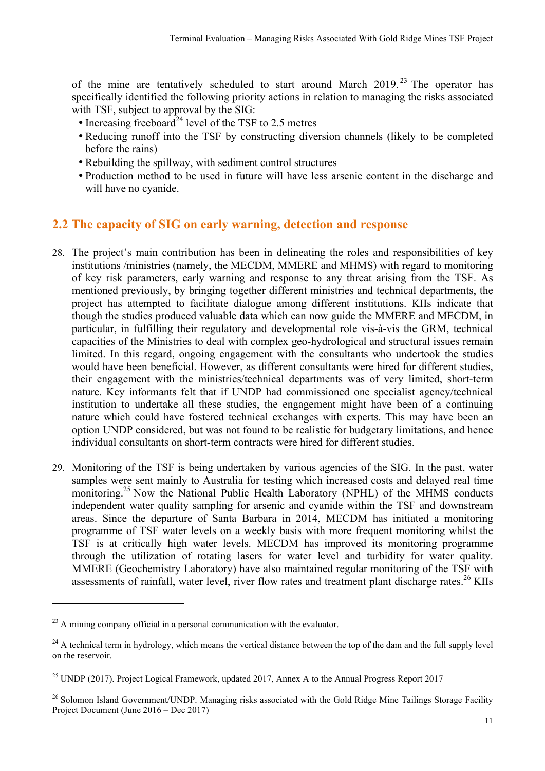of the mine are tentatively scheduled to start around March 2019.<sup>23</sup> The operator has specifically identified the following priority actions in relation to managing the risks associated with TSF, subject to approval by the SIG:

- Increasing freeboard<sup>24</sup> level of the TSF to 2.5 metres
- Reducing runoff into the TSF by constructing diversion channels (likely to be completed before the rains)
- Rebuilding the spillway, with sediment control structures
- Production method to be used in future will have less arsenic content in the discharge and will have no cyanide.

## **2.2 The capacity of SIG on early warning, detection and response**

- 28. The project's main contribution has been in delineating the roles and responsibilities of key institutions /ministries (namely, the MECDM, MMERE and MHMS) with regard to monitoring of key risk parameters, early warning and response to any threat arising from the TSF. As mentioned previously, by bringing together different ministries and technical departments, the project has attempted to facilitate dialogue among different institutions. KIIs indicate that though the studies produced valuable data which can now guide the MMERE and MECDM, in particular, in fulfilling their regulatory and developmental role vis-à-vis the GRM, technical capacities of the Ministries to deal with complex geo-hydrological and structural issues remain limited. In this regard, ongoing engagement with the consultants who undertook the studies would have been beneficial. However, as different consultants were hired for different studies, their engagement with the ministries/technical departments was of very limited, short-term nature. Key informants felt that if UNDP had commissioned one specialist agency/technical institution to undertake all these studies, the engagement might have been of a continuing nature which could have fostered technical exchanges with experts. This may have been an option UNDP considered, but was not found to be realistic for budgetary limitations, and hence individual consultants on short-term contracts were hired for different studies.
- 29. Monitoring of the TSF is being undertaken by various agencies of the SIG. In the past, water samples were sent mainly to Australia for testing which increased costs and delayed real time monitoring.<sup>25</sup> Now the National Public Health Laboratory (NPHL) of the MHMS conducts independent water quality sampling for arsenic and cyanide within the TSF and downstream areas. Since the departure of Santa Barbara in 2014, MECDM has initiated a monitoring programme of TSF water levels on a weekly basis with more frequent monitoring whilst the TSF is at critically high water levels. MECDM has improved its monitoring programme through the utilization of rotating lasers for water level and turbidity for water quality. MMERE (Geochemistry Laboratory) have also maintained regular monitoring of the TSF with assessments of rainfall, water level, river flow rates and treatment plant discharge rates.<sup>26</sup> KIIs

<u> 1989 - Johann Stein, marwolaethau a bh</u>

 $^{23}$  A mining company official in a personal communication with the evaluator.

 $24$  A technical term in hydrology, which means the vertical distance between the top of the dam and the full supply level on the reservoir.

<sup>&</sup>lt;sup>25</sup> UNDP (2017). Project Logical Framework, updated 2017, Annex A to the Annual Progress Report 2017

<sup>&</sup>lt;sup>26</sup> Solomon Island Government/UNDP. Managing risks associated with the Gold Ridge Mine Tailings Storage Facility Project Document (June 2016 – Dec 2017)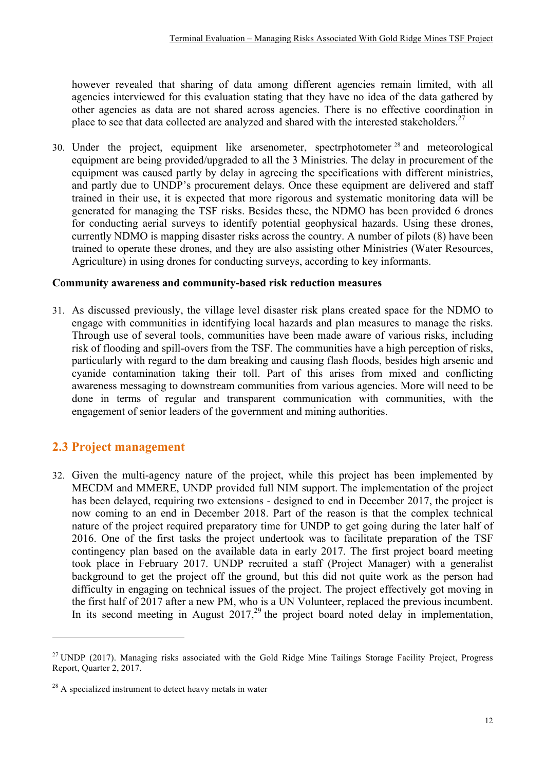however revealed that sharing of data among different agencies remain limited, with all agencies interviewed for this evaluation stating that they have no idea of the data gathered by other agencies as data are not shared across agencies. There is no effective coordination in place to see that data collected are analyzed and shared with the interested stakeholders.<sup>27</sup>

30. Under the project, equipment like arsenometer, spectrphotometer <sup>28</sup> and meteorological equipment are being provided/upgraded to all the 3 Ministries. The delay in procurement of the equipment was caused partly by delay in agreeing the specifications with different ministries, and partly due to UNDP's procurement delays. Once these equipment are delivered and staff trained in their use, it is expected that more rigorous and systematic monitoring data will be generated for managing the TSF risks. Besides these, the NDMO has been provided 6 drones for conducting aerial surveys to identify potential geophysical hazards. Using these drones, currently NDMO is mapping disaster risks across the country. A number of pilots (8) have been trained to operate these drones, and they are also assisting other Ministries (Water Resources, Agriculture) in using drones for conducting surveys, according to key informants.

#### **Community awareness and community-based risk reduction measures**

31. As discussed previously, the village level disaster risk plans created space for the NDMO to engage with communities in identifying local hazards and plan measures to manage the risks. Through use of several tools, communities have been made aware of various risks, including risk of flooding and spill-overs from the TSF. The communities have a high perception of risks, particularly with regard to the dam breaking and causing flash floods, besides high arsenic and cyanide contamination taking their toll. Part of this arises from mixed and conflicting awareness messaging to downstream communities from various agencies. More will need to be done in terms of regular and transparent communication with communities, with the engagement of senior leaders of the government and mining authorities.

## **2.3 Project management**

 

32. Given the multi-agency nature of the project, while this project has been implemented by MECDM and MMERE, UNDP provided full NIM support. The implementation of the project has been delayed, requiring two extensions - designed to end in December 2017, the project is now coming to an end in December 2018. Part of the reason is that the complex technical nature of the project required preparatory time for UNDP to get going during the later half of 2016. One of the first tasks the project undertook was to facilitate preparation of the TSF contingency plan based on the available data in early 2017. The first project board meeting took place in February 2017. UNDP recruited a staff (Project Manager) with a generalist background to get the project off the ground, but this did not quite work as the person had difficulty in engaging on technical issues of the project. The project effectively got moving in the first half of 2017 after a new PM, who is a UN Volunteer, replaced the previous incumbent. In its second meeting in August  $2017<sup>29</sup>$ , the project board noted delay in implementation,

<sup>&</sup>lt;sup>27</sup> UNDP (2017). Managing risks associated with the Gold Ridge Mine Tailings Storage Facility Project, Progress Report, Quarter 2, 2017.

 $28$  A specialized instrument to detect heavy metals in water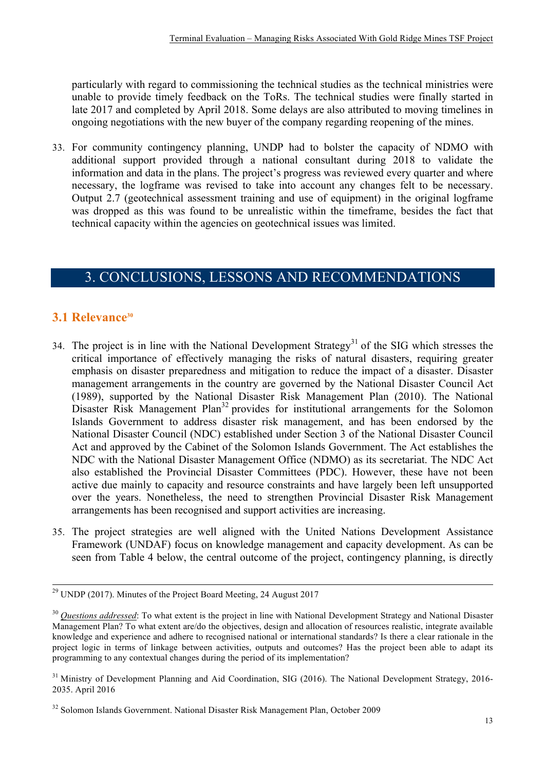particularly with regard to commissioning the technical studies as the technical ministries were unable to provide timely feedback on the ToRs. The technical studies were finally started in late 2017 and completed by April 2018. Some delays are also attributed to moving timelines in ongoing negotiations with the new buyer of the company regarding reopening of the mines.

33. For community contingency planning, UNDP had to bolster the capacity of NDMO with additional support provided through a national consultant during 2018 to validate the information and data in the plans. The project's progress was reviewed every quarter and where necessary, the logframe was revised to take into account any changes felt to be necessary. Output 2.7 (geotechnical assessment training and use of equipment) in the original logframe was dropped as this was found to be unrealistic within the timeframe, besides the fact that technical capacity within the agencies on geotechnical issues was limited.

## 3. CONCLUSIONS, LESSONS AND RECOMMENDATIONS

## **3.1 Relevance30**

- 34. The project is in line with the National Development Strategy<sup>31</sup> of the SIG which stresses the critical importance of effectively managing the risks of natural disasters, requiring greater emphasis on disaster preparedness and mitigation to reduce the impact of a disaster. Disaster management arrangements in the country are governed by the National Disaster Council Act (1989), supported by the National Disaster Risk Management Plan (2010). The National Disaster Risk Management Plan<sup>32</sup> provides for institutional arrangements for the Solomon Islands Government to address disaster risk management, and has been endorsed by the National Disaster Council (NDC) established under Section 3 of the National Disaster Council Act and approved by the Cabinet of the Solomon Islands Government. The Act establishes the NDC with the National Disaster Management Office (NDMO) as its secretariat. The NDC Act also established the Provincial Disaster Committees (PDC). However, these have not been active due mainly to capacity and resource constraints and have largely been left unsupported over the years. Nonetheless, the need to strengthen Provincial Disaster Risk Management arrangements has been recognised and support activities are increasing.
- 35. The project strategies are well aligned with the United Nations Development Assistance Framework (UNDAF) focus on knowledge management and capacity development. As can be seen from Table 4 below, the central outcome of the project, contingency planning, is directly

 $29$  UNDP (2017). Minutes of the Project Board Meeting, 24 August 2017

<sup>&</sup>lt;sup>30</sup> Questions addressed: To what extent is the project in line with National Development Strategy and National Disaster Management Plan? To what extent are/do the objectives, design and allocation of resources realistic, integrate available knowledge and experience and adhere to recognised national or international standards? Is there a clear rationale in the project logic in terms of linkage between activities, outputs and outcomes? Has the project been able to adapt its programming to any contextual changes during the period of its implementation?

<sup>&</sup>lt;sup>31</sup> Ministry of Development Planning and Aid Coordination, SIG (2016). The National Development Strategy, 2016-2035. April 2016

<sup>&</sup>lt;sup>32</sup> Solomon Islands Government. National Disaster Risk Management Plan, October 2009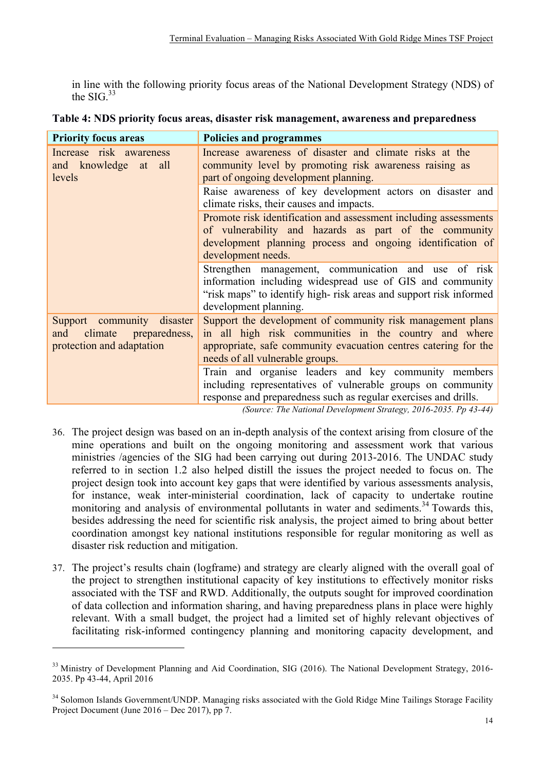in line with the following priority focus areas of the National Development Strategy (NDS) of the  $SIG.$ <sup>33</sup>

| <b>Priority focus areas</b>                                                                | <b>Policies and programmes</b>                                                                                                                                                                                            |
|--------------------------------------------------------------------------------------------|---------------------------------------------------------------------------------------------------------------------------------------------------------------------------------------------------------------------------|
| Increase risk awareness<br>and knowledge at all<br>levels                                  | Increase awareness of disaster and climate risks at the<br>community level by promoting risk awareness raising as<br>part of ongoing development planning.                                                                |
|                                                                                            | Raise awareness of key development actors on disaster and<br>climate risks, their causes and impacts.                                                                                                                     |
|                                                                                            | Promote risk identification and assessment including assessments<br>of vulnerability and hazards as part of the community<br>development planning process and ongoing identification of<br>development needs.             |
|                                                                                            | Strengthen management, communication and use of risk<br>information including widespread use of GIS and community<br>"risk maps" to identify high-risk areas and support risk informed<br>development planning.           |
| Support community disaster<br>climate<br>preparedness,<br>and<br>protection and adaptation | Support the development of community risk management plans<br>in all high risk communities in the country and where<br>appropriate, safe community evacuation centres catering for the<br>needs of all vulnerable groups. |
|                                                                                            | Train and organise leaders and key community members<br>including representatives of vulnerable groups on community<br>response and preparedness such as regular exercises and drills.                                    |

|  | Table 4: NDS priority focus areas, disaster risk management, awareness and preparedness |  |
|--|-----------------------------------------------------------------------------------------|--|
|  |                                                                                         |  |

*(Source: The National Development Strategy, 2016-2035. Pp 43-44)*

- 36. The project design was based on an in-depth analysis of the context arising from closure of the mine operations and built on the ongoing monitoring and assessment work that various ministries /agencies of the SIG had been carrying out during 2013-2016. The UNDAC study referred to in section 1.2 also helped distill the issues the project needed to focus on. The project design took into account key gaps that were identified by various assessments analysis, for instance, weak inter-ministerial coordination, lack of capacity to undertake routine monitoring and analysis of environmental pollutants in water and sediments.<sup>34</sup> Towards this, besides addressing the need for scientific risk analysis, the project aimed to bring about better coordination amongst key national institutions responsible for regular monitoring as well as disaster risk reduction and mitigation.
- 37. The project's results chain (logframe) and strategy are clearly aligned with the overall goal of the project to strengthen institutional capacity of key institutions to effectively monitor risks associated with the TSF and RWD. Additionally, the outputs sought for improved coordination of data collection and information sharing, and having preparedness plans in place were highly relevant. With a small budget, the project had a limited set of highly relevant objectives of facilitating risk-informed contingency planning and monitoring capacity development, and

<u> 1989 - Johann Stein, marwolaethau a bh</u>

<sup>&</sup>lt;sup>33</sup> Ministry of Development Planning and Aid Coordination, SIG (2016). The National Development Strategy, 2016-2035. Pp 43-44, April 2016

<sup>&</sup>lt;sup>34</sup> Solomon Islands Government/UNDP. Managing risks associated with the Gold Ridge Mine Tailings Storage Facility Project Document (June 2016 – Dec 2017), pp 7.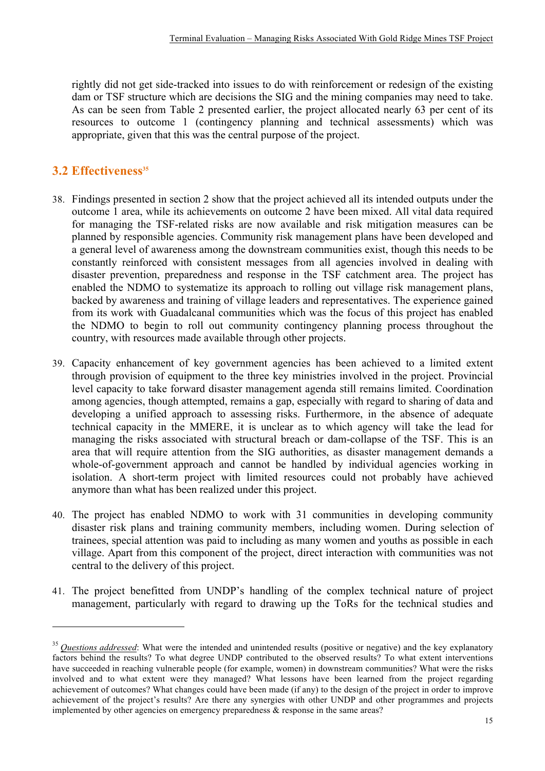rightly did not get side-tracked into issues to do with reinforcement or redesign of the existing dam or TSF structure which are decisions the SIG and the mining companies may need to take. As can be seen from Table 2 presented earlier, the project allocated nearly 63 per cent of its resources to outcome 1 (contingency planning and technical assessments) which was appropriate, given that this was the central purpose of the project.

## **3.2 Effectiveness**<sup>35</sup>

 

- 38. Findings presented in section 2 show that the project achieved all its intended outputs under the outcome 1 area, while its achievements on outcome 2 have been mixed. All vital data required for managing the TSF-related risks are now available and risk mitigation measures can be planned by responsible agencies. Community risk management plans have been developed and a general level of awareness among the downstream communities exist, though this needs to be constantly reinforced with consistent messages from all agencies involved in dealing with disaster prevention, preparedness and response in the TSF catchment area. The project has enabled the NDMO to systematize its approach to rolling out village risk management plans, backed by awareness and training of village leaders and representatives. The experience gained from its work with Guadalcanal communities which was the focus of this project has enabled the NDMO to begin to roll out community contingency planning process throughout the country, with resources made available through other projects.
- 39. Capacity enhancement of key government agencies has been achieved to a limited extent through provision of equipment to the three key ministries involved in the project. Provincial level capacity to take forward disaster management agenda still remains limited. Coordination among agencies, though attempted, remains a gap, especially with regard to sharing of data and developing a unified approach to assessing risks. Furthermore, in the absence of adequate technical capacity in the MMERE, it is unclear as to which agency will take the lead for managing the risks associated with structural breach or dam-collapse of the TSF. This is an area that will require attention from the SIG authorities, as disaster management demands a whole-of-government approach and cannot be handled by individual agencies working in isolation. A short-term project with limited resources could not probably have achieved anymore than what has been realized under this project.
- 40. The project has enabled NDMO to work with 31 communities in developing community disaster risk plans and training community members, including women. During selection of trainees, special attention was paid to including as many women and youths as possible in each village. Apart from this component of the project, direct interaction with communities was not central to the delivery of this project.
- 41. The project benefitted from UNDP's handling of the complex technical nature of project management, particularly with regard to drawing up the ToRs for the technical studies and

<sup>&</sup>lt;sup>35</sup> *Questions addressed*: What were the intended and unintended results (positive or negative) and the key explanatory factors behind the results? To what degree UNDP contributed to the observed results? To what extent interventions have succeeded in reaching vulnerable people (for example, women) in downstream communities? What were the risks involved and to what extent were they managed? What lessons have been learned from the project regarding achievement of outcomes? What changes could have been made (if any) to the design of the project in order to improve achievement of the project's results? Are there any synergies with other UNDP and other programmes and projects implemented by other agencies on emergency preparedness & response in the same areas?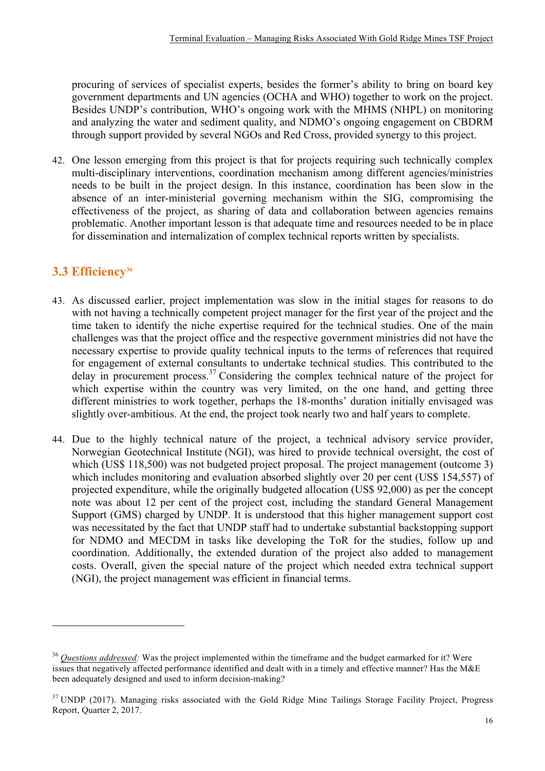procuring of services of specialist experts, besides the former's ability to bring on board key government departments and UN agencies (OCHA and WHO) together to work on the project. Besides UNDP's contribution, WHO's ongoing work with the MHMS (NHPL) on monitoring and analyzing the water and sediment quality, and NDMO's ongoing engagement on CBDRM through support provided by several NGOs and Red Cross, provided synergy to this project.

42. One lesson emerging from this project is that for projects requiring such technically complex multi-disciplinary interventions, coordination mechanism among different agencies/ministries needs to be built in the project design. In this instance, coordination has been slow in the absence of an inter-ministerial governing mechanism within the SIG, compromising the effectiveness of the project, as sharing of data and collaboration between agencies remains problematic. Another important lesson is that adequate time and resources needed to be in place for dissemination and internalization of complex technical reports written by specialists.

## **3.3 Efficiency36**

<u> 1989 - Johann Stein, marwolaethau a bh</u>

- 43. As discussed earlier, project implementation was slow in the initial stages for reasons to do with not having a technically competent project manager for the first year of the project and the time taken to identify the niche expertise required for the technical studies. One of the main challenges was that the project office and the respective government ministries did not have the necessary expertise to provide quality technical inputs to the terms of references that required for engagement of external consultants to undertake technical studies. This contributed to the delay in procurement process.<sup>37</sup> Considering the complex technical nature of the project for which expertise within the country was very limited, on the one hand, and getting three different ministries to work together, perhaps the 18-months' duration initially envisaged was slightly over-ambitious. At the end, the project took nearly two and half years to complete.
- 44. Due to the highly technical nature of the project, a technical advisory service provider, Norwegian Geotechnical Institute (NGI), was hired to provide technical oversight, the cost of which (US\$ 118,500) was not budgeted project proposal. The project management (outcome 3) which includes monitoring and evaluation absorbed slightly over 20 per cent (US\$ 154,557) of projected expenditure, while the originally budgeted allocation (US\$ 92,000) as per the concept note was about 12 per cent of the project cost, including the standard General Management Support (GMS) charged by UNDP. It is understood that this higher management support cost was necessitated by the fact that UNDP staff had to undertake substantial backstopping support for NDMO and MECDM in tasks like developing the ToR for the studies, follow up and coordination. Additionally, the extended duration of the project also added to management costs. Overall, given the special nature of the project which needed extra technical support (NGI), the project management was efficient in financial terms.

<sup>36</sup> *Questions addressed:* Was the project implemented within the timeframe and the budget earmarked for it? Were issues that negatively affected performance identified and dealt with in a timely and effective manner? Has the M&E been adequately designed and used to inform decision-making?

<sup>&</sup>lt;sup>37</sup> UNDP (2017). Managing risks associated with the Gold Ridge Mine Tailings Storage Facility Project, Progress Report, Quarter 2, 2017.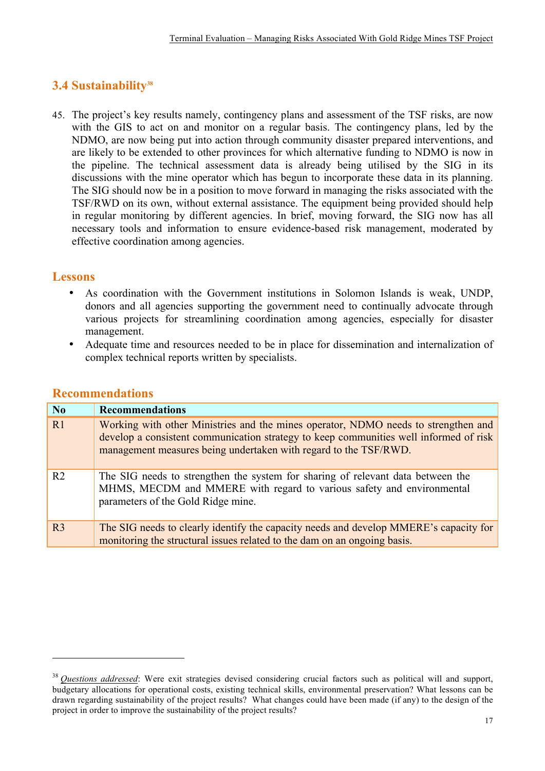## **3.4 Sustainability38**

45. The project's key results namely, contingency plans and assessment of the TSF risks, are now with the GIS to act on and monitor on a regular basis. The contingency plans, led by the NDMO, are now being put into action through community disaster prepared interventions, and are likely to be extended to other provinces for which alternative funding to NDMO is now in the pipeline. The technical assessment data is already being utilised by the SIG in its discussions with the mine operator which has begun to incorporate these data in its planning. The SIG should now be in a position to move forward in managing the risks associated with the TSF/RWD on its own, without external assistance. The equipment being provided should help in regular monitoring by different agencies. In brief, moving forward, the SIG now has all necessary tools and information to ensure evidence-based risk management, moderated by effective coordination among agencies.

## **Lessons**

- As coordination with the Government institutions in Solomon Islands is weak, UNDP, donors and all agencies supporting the government need to continually advocate through various projects for streamlining coordination among agencies, especially for disaster management.
- Adequate time and resources needed to be in place for dissemination and internalization of complex technical reports written by specialists.

| N <sub>0</sub> | <b>Recommendations</b>                                                                                                                                                                                                                          |
|----------------|-------------------------------------------------------------------------------------------------------------------------------------------------------------------------------------------------------------------------------------------------|
| R1             | Working with other Ministries and the mines operator, NDMO needs to strengthen and<br>develop a consistent communication strategy to keep communities well informed of risk<br>management measures being undertaken with regard to the TSF/RWD. |
| R <sub>2</sub> | The SIG needs to strengthen the system for sharing of relevant data between the<br>MHMS, MECDM and MMERE with regard to various safety and environmental<br>parameters of the Gold Ridge mine.                                                  |
| R <sub>3</sub> | The SIG needs to clearly identify the capacity needs and develop MMERE's capacity for<br>monitoring the structural issues related to the dam on an ongoing basis.                                                                               |

#### **Recommendations**

 

<sup>&</sup>lt;sup>38</sup> *Questions addressed*: Were exit strategies devised considering crucial factors such as political will and support, budgetary allocations for operational costs, existing technical skills, environmental preservation? What lessons can be drawn regarding sustainability of the project results? What changes could have been made (if any) to the design of the project in order to improve the sustainability of the project results?